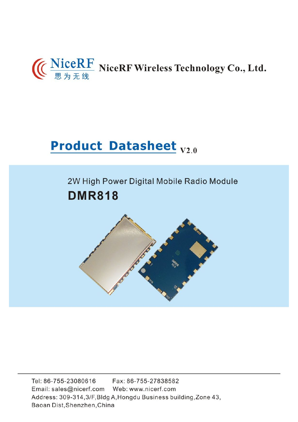# (C NiceRF NiceRF Wireless Technology Co., Ltd.

# **Product Datasheet V2.0**

## 2W High Power Digital Mobile Radio Module **DMR818**



Tel: 86-755-23080616 Fax: 86-755-27838582 Email: sales@nicerf.com Web: www.nicerf.com Address: 309-314, 3/F, Bldg A, Hongdu Business building, Zone 43, Baoan Dist, Shenzhen, China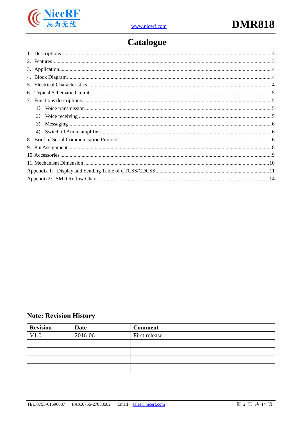

## **Catalogue**

| 1) |  |  |  |  |  |
|----|--|--|--|--|--|
| 2) |  |  |  |  |  |
| 3) |  |  |  |  |  |
|    |  |  |  |  |  |
|    |  |  |  |  |  |
|    |  |  |  |  |  |
|    |  |  |  |  |  |
|    |  |  |  |  |  |
|    |  |  |  |  |  |
|    |  |  |  |  |  |

## **Note: Revision History**

| <b>Revision</b> | <b>Date</b> | <b>Comment</b> |
|-----------------|-------------|----------------|
| V1.0            | 2016-06     | First release  |
|                 |             |                |
|                 |             |                |
|                 |             |                |
|                 |             |                |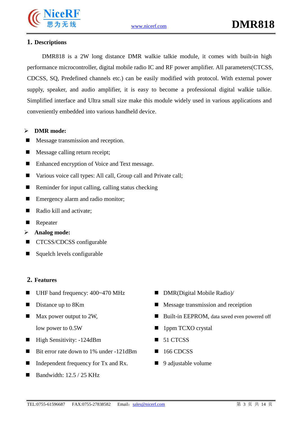

#### **1. Descriptions**

DMR818 is a 2W long distance DMR walkie talkie module, it comes with built-in high performance microcontroller, digital mobile radio IC and RF power amplifier. All parameters(CTCSS, CDCSS, SQ, Predefined channels etc.) can be easily modified with protocol. With external power supply, speaker, and audio amplifier, it is easy to become a professional digital walkie talkie. Simplified interface and Ultra small size make this module widely used in various applications and conveniently embedded into various handheld device.

#### Ø **DMR mode:**

- Message transmission and reception.
- $\blacksquare$  Message calling return receipt;
- Enhanced encryption of Voice and Text message.
- Various voice call types: All call, Group call and Private call;
- Reminder for input calling, calling status checking
- $\blacksquare$  Emergency alarm and radio monitor;
- Radio kill and activate:
- **Repeater**
- Ø **Analog mode:**
- CTCSS/CDCSS configurable
- $\blacksquare$  Squelch levels configurable

#### **2. Features**

- $\blacksquare$  UHF band frequency: 400~470 MHz
- $\blacksquare$  Distance up to 8Km
- Max power output to 2W. low power to 0.5W
- $\blacksquare$  High Sensitivity: -124dBm
- Bit error rate down to 1% under -121dBm
- Independent frequency for Tx and Rx.
- n Bandwidth: 12.5 / 25 KHz
- $\blacksquare$  DMR(Digital Mobile Radio)/
- $\blacksquare$  Message transmission and receiption
- Built-in EEPROM, data saved even powered off
- 1ppm TCXO crystal
- 51 CTCSS
- 166 CDCSS
- $\Box$  9 adjustable volume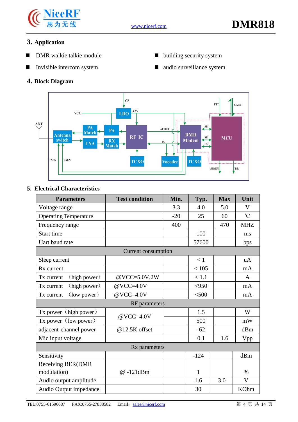

### **3. Application**

- **n** DMR walkie talkie module
- $\blacksquare$  Invisible intercom system

#### **4. Block Diagram**

- $\blacksquare$  building security system
- $\blacksquare$  audio surveillance system



#### **5. Electrical Characteristics**

| <b>Parameters</b>            | <b>Test condition</b>      | Min.  | Typ.         | <b>Max</b> | Unit            |
|------------------------------|----------------------------|-------|--------------|------------|-----------------|
| Voltage range                |                            | 3.3   | 4.0          | 5.0        | V               |
| <b>Operating Temperature</b> |                            | $-20$ | 25           | 60         | $\rm ^{\circ}C$ |
| Frequency range              |                            | 400   |              | 470        | <b>MHZ</b>      |
| Start time                   |                            |       | 100          |            | ms              |
| Uart baud rate               |                            |       | 57600        |            | bps             |
|                              | <b>Current consumption</b> |       |              |            |                 |
| Sleep current                |                            |       | < 1          |            | uA              |
| Rx current                   |                            |       | < 105        |            | mA              |
| (high power)<br>Tx current   | @VCC=5.0V,2W               |       | < 1.1        |            | $\mathsf{A}$    |
| (high power)<br>Tx current   | $@VCC=4.0V$                |       | < 950        |            | mA              |
| (low power)<br>Tx current    | $@VCC=4.0V$                |       | $<$ 500      |            | mA              |
|                              | <b>RF</b> parameters       |       |              |            |                 |
| Tx power (high power)        | $@VCC=4.0V$                |       | 1.5          |            | W               |
| Tx power (low power)         |                            |       | 500          |            | mW              |
| adjacent-channel power       | @12.5K offset              |       | $-62$        |            | dBm             |
| Mic input voltage            |                            |       | 0.1          | 1.6        | Vpp             |
|                              | Rx parameters              |       |              |            |                 |
| Sensitivity                  |                            |       | $-124$       |            | dBm             |
| <b>Receiving BER(DMR</b>     |                            |       |              |            |                 |
| modulation)                  | @-121dBm                   |       | $\mathbf{1}$ |            | $\%$            |
| Audio output amplitude       |                            |       | 1.6          | 3.0        | V               |
| Audio Output impedance       |                            |       | 30           |            | <b>KOhm</b>     |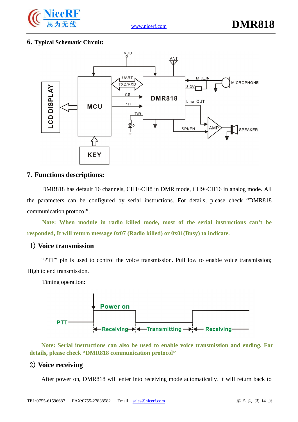

#### **6. Typical Schematic Circuit:**



#### **7. Functions descriptions:**

DMR818 has default 16 channels, CH1~CH8 in DMR mode, CH9~CH16 in analog mode. All the parameters can be configured by serial instructions. For details, please check "DMR818 communication protocol".

**Note: When module in radio killed mode, most of the serial instructions can't be responded, It will return message 0x07 (Radio killed) or 0x01(Busy) to indicate.**

#### 1) **Voice transmission**

"PTT" pin is used to control the voice transmission. Pull low to enable voice transmission; High to end transmission.

Timing operation:



**Note: Serial instructions can also be used to enable voice transmission and ending. For details, please check "DMR818 communication protocol"**

#### 2) **Voice receiving**

After power on, DMR818 will enter into receiving mode automatically. It will return back to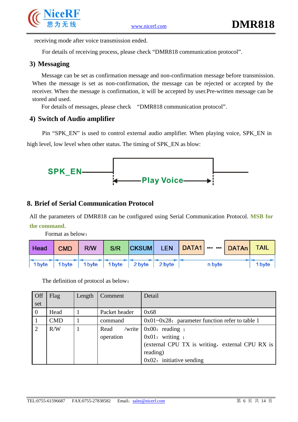

receiving mode after voice transmission ended.

For details of receiving process, please check "DMR818 communication protocol".

#### **3) Messaging**

Message can be set as confirmation message and non-confirmation message before transmission. When the message is set as non-confirmation, the message can be rejected or accepted by the receiver. When the message is confirmation, it will be accepted by user.Pre-written message can be stored and used.

For details of messages, please check "DMR818 communication protocol".

#### **4) Switch of Audio amplifier**

Pin "SPK\_EN" is used to control external audio amplifier. When playing voice, SPK\_EN in high level, low level when other status. The timing of SPK\_EN as blow:



#### **8. Brief of Serial Communication Protocol**

All the parameters of DMR818 can be configured using Serial Communication Protocol. **MSB for the command.**

Format as below:

|  |  |                                           | Head   CMD   R/W   S/R   CKSUM   LEN   DATA1       DATAn   TAIL |        |        |
|--|--|-------------------------------------------|-----------------------------------------------------------------|--------|--------|
|  |  | 1 byte 1 byte 1 byte 1 byte 2 byte 2 byte |                                                                 | n byte | 1 byte |

The definition of protocol as below:

| Off            | Flag       | Length | Comment        | Detail                                              |
|----------------|------------|--------|----------------|-----------------------------------------------------|
| set            |            |        |                |                                                     |
| $\overline{0}$ | Head       |        | Packet header  | 0x68                                                |
|                | <b>CMD</b> |        | command        | $0x01 - 0x28$ : parameter function refer to table 1 |
| $\overline{2}$ | R/W        |        | /write<br>Read | $\vert 0x00:$ reading ;                             |
|                |            |        | operation      | $0x01:$ writing ;                                   |
|                |            |        |                | (external CPU TX is writing, external CPU RX is     |
|                |            |        |                | reading)                                            |
|                |            |        |                | $0x02$ : initiative sending                         |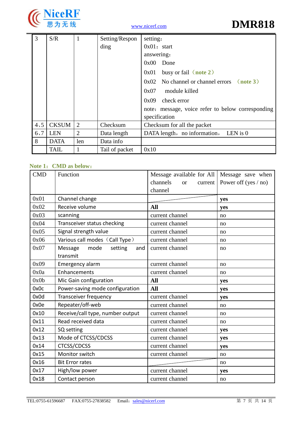

| 3    | S/R          | $\mathbf{1}$   | Setting/Respon | setting:                                               |
|------|--------------|----------------|----------------|--------------------------------------------------------|
|      |              |                | ding           | $0x01$ : start                                         |
|      |              |                |                | answering:                                             |
|      |              |                |                | 0x00<br>Done                                           |
|      |              |                |                | busy or fail $(note 2)$<br>0x01                        |
|      |              |                |                | $0x02$ No channel or channel errors $(\text{note } 3)$ |
|      |              |                |                | module killed<br>0x07                                  |
|      |              |                |                | check error<br>0x09                                    |
|      |              |                |                | note: message, voice refer to below corresponding      |
|      |              |                |                | specification                                          |
| 4, 5 | <b>CKSUM</b> | 2              | Checksum       | Checksum for all the packet                            |
| 6,7  | <b>LEN</b>   | $\overline{2}$ | Data length    | DATA length, no information, LEN is 0                  |
| 8    | <b>DATA</b>  | len            | Data info      |                                                        |
|      | <b>TAIL</b>  | 1              | Tail of packet | 0x10                                                   |

#### **Note 1**:**CMD as below**:

| <b>CMD</b> | Function                          | Message available for All        | Message save when    |
|------------|-----------------------------------|----------------------------------|----------------------|
|            |                                   | channels<br><b>or</b><br>current | Power off (yes / no) |
|            |                                   | channel                          |                      |
| 0x01       | Channel change                    |                                  | yes                  |
| 0x02       | Receive volume                    | <b>All</b>                       | yes                  |
| 0x03       | scanning                          | current channel                  | no                   |
| 0x04       | Transceiver status checking       | current channel                  | no                   |
| 0x05       | Signal strength value             | current channel                  | no                   |
| 0x06       | Various call modes (Call Type)    | current channel                  | no                   |
| 0x07       | Message<br>mode<br>setting<br>and | current channel                  | no                   |
|            | transmit                          |                                  |                      |
| 0x09       | Emergency alarm                   | current channel                  | no                   |
| 0x0a       | Enhancements                      | current channel                  | no                   |
| 0x0b       | Mic Gain configuration            | <b>All</b>                       | yes                  |
| 0x0c       | Power-saving mode configuration   | <b>All</b>                       | yes                  |
| 0x0d       | Transceiver frequency             | current channel                  | yes                  |
| 0x0e       | Repeater/off-web                  | current channel                  | no                   |
| 0x10       | Receive/call type, number output  | current channel                  | no                   |
| 0x11       | Read received data                | current channel                  | no                   |
| 0x12       | SQ setting                        | current channel                  | yes                  |
| 0x13       | Mode of CTCSS/CDCSS               | current channel                  | yes                  |
| 0x14       | <b>CTCSS/CDCSS</b>                | current channel                  | yes                  |
| 0x15       | Monitor switch                    | current channel                  | no                   |
| 0x16       | <b>Bit Error rates</b>            |                                  | no                   |
| 0x17       | High/low power                    | current channel                  | yes                  |
| 0x18       | Contact person                    | current channel                  | no                   |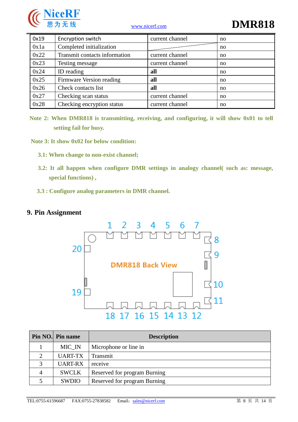

# www.nicerf.com **DMR818**

| 0x19 | Encryption switch             | current channel | no |
|------|-------------------------------|-----------------|----|
| 0x1a | Completed initialization      |                 | no |
| 0x22 | Transmit contacts information | current channel | no |
| 0x23 | Testing message               | current channel | no |
| 0x24 | ID reading                    | all             | no |
| 0x25 | Firmware Version reading      | all             | no |
| 0x26 | Check contacts list           | all             | no |
| 0x27 | Checking scan status          | current channel | no |
| 0x28 | Checking encryption status    | current channel | no |

**Note 2: When DMR818 is transmitting, receiving, and configuring, it will show 0x01 to tell setting fail for busy.**

**Note 3: It show 0x02 for below condition:**

- **3.1: When change to non-exist channel;**
- **3.2: It all happen when configure DMR settings in analogy channel( such as: message, special functions) ,**
- **3.3 : Configure analog parameters in DMR channel.**

#### **9. Pin Assignment**



|             | Pin NO. Pin name | <b>Description</b>           |
|-------------|------------------|------------------------------|
|             | MIC_IN           | Microphone or line in        |
|             | <b>UART-TX</b>   | Transmit                     |
| $\mathbf 3$ | <b>UART-RX</b>   | receive                      |
| 4           | <b>SWCLK</b>     | Reserved for program Burning |
|             | SWDIO            | Reserved for program Burning |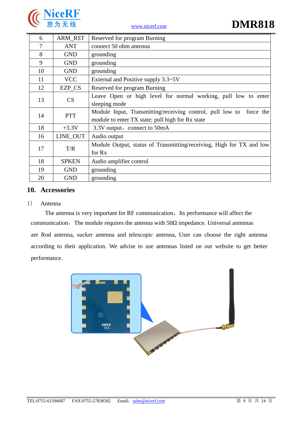



| 6  | <b>ARM RST</b> | Reserved for program Burning                                         |
|----|----------------|----------------------------------------------------------------------|
| 7  | <b>ANT</b>     | connect 50 ohm antenna                                               |
| 8  | <b>GND</b>     | grounding                                                            |
| 9  | <b>GND</b>     | grounding                                                            |
| 10 | <b>GND</b>     | grounding                                                            |
| 11 | <b>VCC</b>     | External and Positive supply $3.3\neg 5V$                            |
| 12 | EZP_CS         | Reserved for program Burning                                         |
| 13 | CS             | Leave Open or high level for normal working, pull low to enter       |
|    |                | sleeping mode                                                        |
| 14 | <b>PTT</b>     | Module Input, Transmitting/receiving control, pull low to force the  |
|    |                | module to enter TX state; pull high for Rx state                     |
| 18 | $+3.3V$        | 3.3V output, connect to 50mA                                         |
| 16 | LINE_OUT       | Audio output                                                         |
|    |                | Module Output, status of Transmitting/receiving, High for TX and low |
| 17 | T/R            | for Rx                                                               |
| 18 | <b>SPKEN</b>   | Audio amplifier control                                              |
| 19 | <b>GND</b>     | grounding                                                            |
| 20 | <b>GND</b>     | grounding                                                            |

#### **10. Accessories**

#### 1) Antenna

The antenna is very important for RF communication, Its performance will affect the communication, The module requires the antenna with  $50\Omega$  impedance. Universal antennas are Rod antenna, sucker antenna and telescopic antenna, User can choose the right antenna according to their application. We advise to use antennas listed on our website to get better performance.

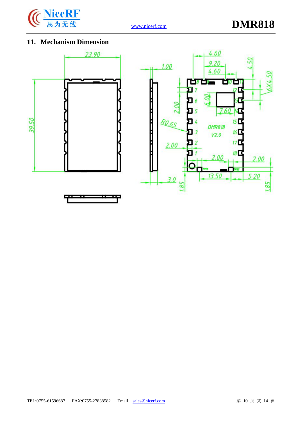

### **11. Mechanism Dimension**



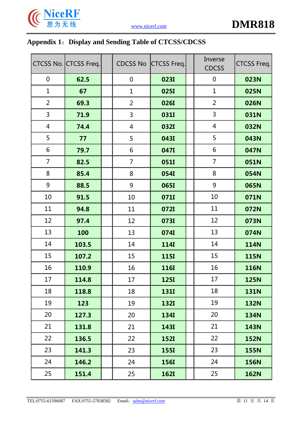

## **Appendix 1**:**Display and Sending Table of CTCSS/CDCSS**

|                | CTCSS No. CTCSS Freq. | <b>CDCSS No</b> | <b>CTCSS Freq.</b> | Inverse<br><b>CDCSS</b> | <b>CTCSS Freq.</b> |
|----------------|-----------------------|-----------------|--------------------|-------------------------|--------------------|
| $\mathbf 0$    | 62.5                  | $\mathbf 0$     | 0231               | $\mathbf 0$             | 023N               |
| $\mathbf{1}$   | 67                    | $\mathbf{1}$    | <b>025I</b>        | $\mathbf{1}$            | 025N               |
| $\overline{2}$ | 69.3                  | $\overline{2}$  | <b>026I</b>        | $\overline{2}$          | 026N               |
| 3              | 71.9                  | 3               | 031I               | $\overline{3}$          | 031N               |
| $\overline{4}$ | 74.4                  | 4               | <b>032I</b>        | $\overline{4}$          | 032N               |
| 5              | 77                    | 5               | 043I               | 5                       | 043N               |
| 6              | 79.7                  | 6               | 047I               | 6                       | 047N               |
| $\overline{7}$ | 82.5                  | $\overline{7}$  | 051I               | $\overline{7}$          | 051N               |
| 8              | 85.4                  | 8               | 054I               | 8                       | 054N               |
| 9              | 88.5                  | 9               | <b>065I</b>        | 9                       | 065N               |
| 10             | 91.5                  | 10              | 071I               | 10                      | 071N               |
| 11             | 94.8                  | 11              | 072I               | 11                      | 072N               |
| 12             | 97.4                  | 12              | 073I               | 12                      | 073N               |
| 13             | 100                   | 13              | 074I               | 13                      | 074N               |
| 14             | 103.5                 | 14              | <b>1141</b>        | 14                      | <b>114N</b>        |
| 15             | 107.2                 | 15              | <b>1151</b>        | 15                      | <b>115N</b>        |
| 16             | 110.9                 | 16              | <b>116I</b>        | 16                      | <b>116N</b>        |
| 17             | 114.8                 | 17              | <b>125I</b>        | 17                      | 125N               |
| 18             | 118.8                 | 18              | <b>131I</b>        | 18                      | <b>131N</b>        |
| 19             | 123                   | 19              | <b>132I</b>        | 19                      | <b>132N</b>        |
| 20             | 127.3                 | 20              | <b>1341</b>        | 20                      | <b>134N</b>        |
| 21             | 131.8                 | 21              | <b>143I</b>        | 21                      | <b>143N</b>        |
| 22             | 136.5                 | 22              | <b>152I</b>        | 22                      | <b>152N</b>        |
| 23             | 141.3                 | 23              | <b>155I</b>        | 23                      | <b>155N</b>        |
| 24             | 146.2                 | 24              | <b>156I</b>        | 24                      | <b>156N</b>        |
| 25             | 151.4                 | 25              | <b>162I</b>        | 25                      | <b>162N</b>        |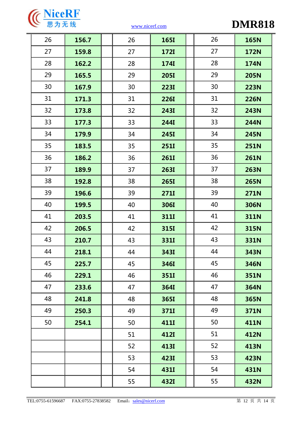

| 26 | 156.7 | 26 | <b>165I</b> | 26 | <b>165N</b> |
|----|-------|----|-------------|----|-------------|
| 27 | 159.8 | 27 | <b>172I</b> | 27 | <b>172N</b> |
| 28 | 162.2 | 28 | <b>174I</b> | 28 | <b>174N</b> |
| 29 | 165.5 | 29 | <b>205I</b> | 29 | <b>205N</b> |
| 30 | 167.9 | 30 | <b>223I</b> | 30 | <b>223N</b> |
| 31 | 171.3 | 31 | <b>226I</b> | 31 | <b>226N</b> |
| 32 | 173.8 | 32 | <b>243I</b> | 32 | <b>243N</b> |
| 33 | 177.3 | 33 | <b>244I</b> | 33 | <b>244N</b> |
| 34 | 179.9 | 34 | <b>245I</b> | 34 | <b>245N</b> |
| 35 | 183.5 | 35 | <b>251I</b> | 35 | <b>251N</b> |
| 36 | 186.2 | 36 | <b>261I</b> | 36 | <b>261N</b> |
| 37 | 189.9 | 37 | <b>263I</b> | 37 | <b>263N</b> |
| 38 | 192.8 | 38 | <b>265I</b> | 38 | <b>265N</b> |
| 39 | 196.6 | 39 | <b>271I</b> | 39 | <b>271N</b> |
| 40 | 199.5 | 40 | <b>306I</b> | 40 | <b>306N</b> |
| 41 | 203.5 | 41 | <b>311I</b> | 41 | <b>311N</b> |
| 42 | 206.5 | 42 | <b>315I</b> | 42 | 315N        |
| 43 | 210.7 | 43 | <b>331I</b> | 43 | 331N        |
| 44 | 218.1 | 44 | <b>343I</b> | 44 | 343N        |
| 45 | 225.7 | 45 | <b>346I</b> | 45 | 346N        |
| 46 | 229.1 | 46 | 351I        | 46 | 351N        |
| 47 | 233.6 | 47 | <b>364I</b> | 47 | 364N        |
| 48 | 241.8 | 48 | <b>365I</b> | 48 | 365N        |
| 49 | 250.3 | 49 | 371I        | 49 | 371N        |
| 50 | 254.1 | 50 | <b>411I</b> | 50 | <b>411N</b> |
|    |       | 51 | <b>412I</b> | 51 | <b>412N</b> |
|    |       | 52 | <b>413I</b> | 52 | 413N        |
|    |       | 53 | <b>423I</b> | 53 | 423N        |
|    |       | 54 | <b>431I</b> | 54 | <b>431N</b> |
|    |       | 55 | 432I        | 55 | <b>432N</b> |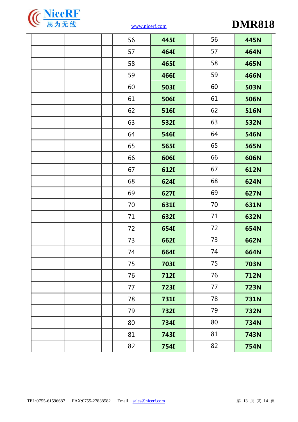

|  | 56 | 445I        | 56 | 445N        |
|--|----|-------------|----|-------------|
|  | 57 | <b>464I</b> | 57 | <b>464N</b> |
|  | 58 | <b>465I</b> | 58 | 465N        |
|  | 59 | <b>466I</b> | 59 | <b>466N</b> |
|  | 60 | <b>503I</b> | 60 | <b>503N</b> |
|  | 61 | <b>506I</b> | 61 | <b>506N</b> |
|  | 62 | <b>516I</b> | 62 | <b>516N</b> |
|  | 63 | <b>532I</b> | 63 | <b>532N</b> |
|  | 64 | <b>546I</b> | 64 | 546N        |
|  | 65 | <b>565I</b> | 65 | 565N        |
|  | 66 | <b>606I</b> | 66 | 606N        |
|  | 67 | <b>612I</b> | 67 | <b>612N</b> |
|  | 68 | <b>624I</b> | 68 | 624N        |
|  | 69 | <b>627I</b> | 69 | <b>627N</b> |
|  | 70 | <b>631I</b> | 70 | 631N        |
|  | 71 | <b>632I</b> | 71 | 632N        |
|  | 72 | <b>654I</b> | 72 | 654N        |
|  | 73 | <b>662I</b> | 73 | 662N        |
|  | 74 | <b>664I</b> | 74 | 664N        |
|  | 75 | <b>703I</b> | 75 | <b>703N</b> |
|  | 76 | <b>712I</b> | 76 | <b>712N</b> |
|  | 77 | <b>723I</b> | 77 | <b>723N</b> |
|  | 78 | <b>7311</b> | 78 | <b>731N</b> |
|  | 79 | <b>732I</b> | 79 | <b>732N</b> |
|  | 80 | <b>7341</b> | 80 | <b>734N</b> |
|  | 81 | <b>7431</b> | 81 | <b>743N</b> |
|  | 82 | <b>7541</b> | 82 | <b>754N</b> |